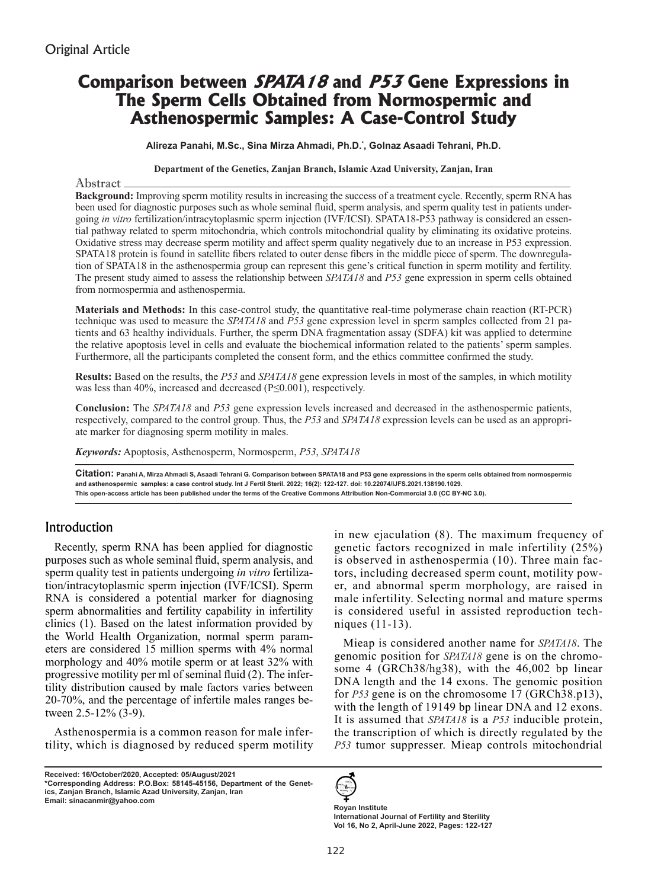# **Comparison between SPATA18 and P53 Gene Expressions in The Sperm Cells Obtained from Normospermic and Asthenospermic Samples: A Case-Control Study**

**Alireza Panahi, M.Sc., Sina Mirza Ahmadi, Ph.D.\* , Golnaz Asaadi Tehrani, Ph.D.**

#### **Department of the Genetics, Zanjan Branch, Islamic Azad University, Zanjan, Iran**

#### Abstract

**Background:** Improving sperm motility results in increasing the success of a treatment cycle. Recently, sperm RNA has been used for diagnostic purposes such as whole seminal fluid, sperm analysis, and sperm quality test in patients undergoing *in vitro* fertilization/intracytoplasmic sperm injection (IVF/ICSI). SPATA18-P53 pathway is considered an essential pathway related to sperm mitochondria, which controls mitochondrial quality by eliminating its oxidative proteins. Oxidative stress may decrease sperm motility and affect sperm quality negatively due to an increase in P53 expression. SPATA18 protein is found in satellite fibers related to outer dense fibers in the middle piece of sperm. The downregulation of SPATA18 in the asthenospermia group can represent this gene's critical function in sperm motility and fertility. The present study aimed to assess the relationship between *SPATA18* and *P53* gene expression in sperm cells obtained from normospermia and asthenospermia.

**Materials and Methods:** In this case-control study, the quantitative real-time polymerase chain reaction (RT-PCR) technique was used to measure the *SPATA18* and *P53* gene expression level in sperm samples collected from 21 patients and 63 healthy individuals. Further, the sperm DNA fragmentation assay (SDFA) kit was applied to determine the relative apoptosis level in cells and evaluate the biochemical information related to the patients' sperm samples. Furthermore, all the participants completed the consent form, and the ethics committee confirmed the study.

**Results:** Based on the results, the *P53* and *SPATA18* gene expression levels in most of the samples, in which motility was less than 40%, increased and decreased (P≤0.001), respectively.

**Conclusion:** The *SPATA18* and *P53* gene expression levels increased and decreased in the asthenospermic patients, respectively, compared to the control group. Thus, the *P53* and *SPATA18* expression levels can be used as an appropriate marker for diagnosing sperm motility in males.

*Keywords:* Apoptosis, Asthenosperm, Normosperm, *P53*, *SPATA18*

**Citation: Panahi A, Mirza Ahmadi S, Asaadi Tehrani G. Comparison between SPATA18 and P53 gene expressions in the sperm cells obtained from normospermic and asthenospermic samples: a case control study. Int J Fertil Steril. 2022; 16(2): 122-127. doi: 10.22074/IJFS.2021.138190.1029. This open-access article has been published under the terms of the Creative Commons Attribution Non-Commercial 3.0 (CC BY-NC 3.0).**

# Introduction

Recently, sperm RNA has been applied for diagnostic purposes such as whole seminal fluid, sperm analysis, and sperm quality test in patients undergoing *in vitro* fertilization/intracytoplasmic sperm injection (IVF/ICSI). Sperm RNA is considered a potential marker for diagnosing sperm abnormalities and fertility capability in infertility clinics (1). Based on the latest information provided by the World Health Organization, normal sperm parameters are considered 15 million sperms with 4% normal morphology and 40% motile sperm or at least 32% with progressive motility per ml of seminal fluid (2). The infertility distribution caused by male factors varies between 20-70%, and the percentage of infertile males ranges between 2.5-12% (3-9).

Asthenospermia is a common reason for male infertility, which is diagnosed by reduced sperm motility

**Received: 16/October/2020, Accepted: 05/August/2021 \*Corresponding Address: P.O.Box: 58145-45156, Department of the Genetics, Zanjan Branch, Islamic Azad University, Zanjan, Iran Email: sinacanmir@yahoo.com**

in new ejaculation (8). The maximum frequency of genetic factors recognized in male infertility (25%) is observed in asthenospermia (10). Three main factors, including decreased sperm count, motility power, and abnormal sperm morphology, are raised in male infertility. Selecting normal and mature sperms is considered useful in assisted reproduction techniques (11-13).

Mieap is considered another name for *SPATA18*. The genomic position for *SPATA18* gene is on the chromosome 4 (GRCh38/hg38), with the 46,002 bp linear DNA length and the 14 exons. The genomic position for *P53* gene is on the chromosome 17 (GRCh38.p13), with the length of 19149 bp linear DNA and 12 exons. It is assumed that *SPATA18* is a *P53* inducible protein, the transcription of which is directly regulated by the *P53* tumor suppresser. Mieap controls mitochondrial



**Royan Institute International Journal of Fertility and Sterility Vol 16, No 2, April-June 2022, Pages: 122-127**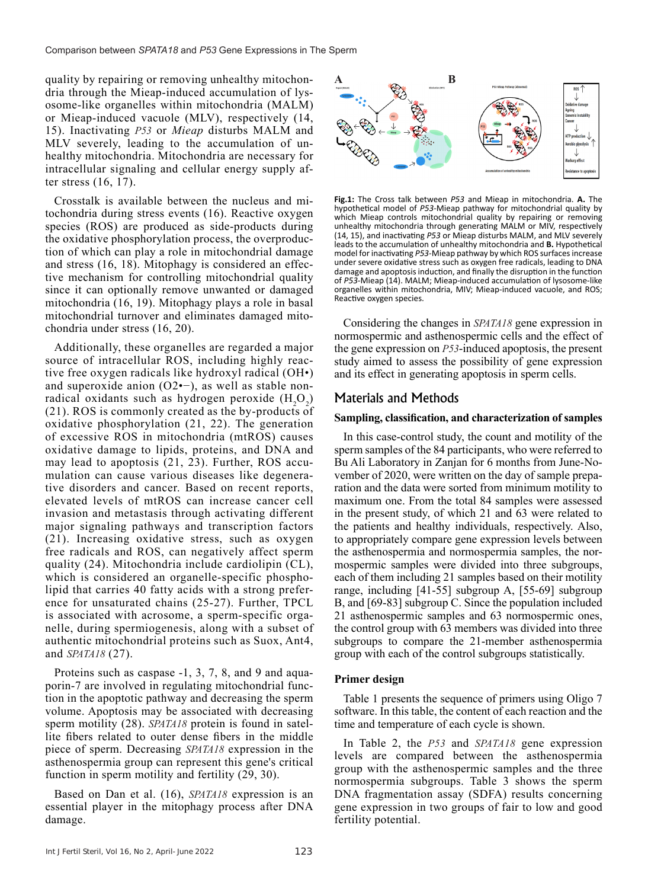quality by repairing or removing unhealthy mitochondria through the Mieap-induced accumulation of lysosome-like organelles within mitochondria (MALM) or Mieap-induced vacuole (MLV), respectively (14, 15). Inactivating *P53* or *Mieap* disturbs MALM and MLV severely, leading to the accumulation of unhealthy mitochondria. Mitochondria are necessary for intracellular signaling and cellular energy supply after stress (16, 17).

Crosstalk is available between the nucleus and mitochondria during stress events (16). Reactive oxygen species (ROS) are produced as side-products during the oxidative phosphorylation process, the overproduction of which can play a role in mitochondrial damage and stress (16, 18). Mitophagy is considered an effective mechanism for controlling mitochondrial quality since it can optionally remove unwanted or damaged mitochondria (16, 19). Mitophagy plays a role in basal mitochondrial turnover and eliminates damaged mitochondria under stress (16, 20).

Additionally, these organelles are regarded a major source of intracellular ROS, including highly reactive free oxygen radicals like hydroxyl radical (OH•) and superoxide anion (O2•−), as well as stable nonradical oxidants such as hydrogen peroxide  $(H_2O_2)$ (21). ROS is commonly created as the by-products of oxidative phosphorylation (21, 22). The generation of excessive ROS in mitochondria (mtROS) causes oxidative damage to lipids, proteins, and DNA and may lead to apoptosis (21, 23). Further, ROS accumulation can cause various diseases like degenerative disorders and cancer. Based on recent reports, elevated levels of mtROS can increase cancer cell invasion and metastasis through activating different major signaling pathways and transcription factors (21). Increasing oxidative stress, such as oxygen free radicals and ROS, can negatively affect sperm quality (24). Mitochondria include cardiolipin (CL), which is considered an organelle-specific phospholipid that carries 40 fatty acids with a strong preference for unsaturated chains (25-27). Further, TPCL is associated with acrosome, a sperm-specific organelle, during spermiogenesis, along with a subset of authentic mitochondrial proteins such as Suox, Ant4, and *SPATA18* (27).

Proteins such as caspase -1, 3, 7, 8, and 9 and aquaporin-7 are involved in regulating mitochondrial function in the apoptotic pathway and decreasing the sperm volume. Apoptosis may be associated with decreasing sperm motility (28). *SPATA18* protein is found in satellite fibers related to outer dense fibers in the middle piece of sperm. Decreasing *SPATA18* expression in the asthenospermia group can represent this gene's critical function in sperm motility and fertility (29, 30).

Based on Dan et al. (16), *SPATA18* expression is an essential player in the mitophagy process after DNA damage.



**Fig.1:** The Cross talk between *P53* and Mieap in mitochondria. **A.** The hypothetical model of *P53*-Mieap pathway for mitochondrial quality by which Mieap controls mitochondrial quality by repairing or removing unhealthy mitochondria through generating MALM or MIV, respectively (14, 15), and inactivating *P53* or Mieap disturbs MALM, and MLV severely leads to the accumulation of unhealthy mitochondria and **B.** Hypothetical model for inactivating *P53*-Mieap pathway by which ROS surfaces increase under severe oxidative stress such as oxygen free radicals, leading to DNA damage and apoptosis induction, and finally the disruption in the function of *P53*-Mieap (14). MALM; Mieap-induced accumulation of lysosome-like organelles within mitochondria, MIV; Mieap-induced vacuole, and ROS; Reactive oxygen species.

Considering the changes in *SPATA18* gene expression in normospermic and asthenospermic cells and the effect of the gene expression on *P53*-induced apoptosis, the present study aimed to assess the possibility of gene expression and its effect in generating apoptosis in sperm cells.

# Materials and Methods

#### **Sampling, classification, and characterization of samples**

In this case-control study, the count and motility of the sperm samples of the 84 participants, who were referred to Bu Ali Laboratory in Zanjan for 6 months from June-November of 2020, were written on the day of sample preparation and the data were sorted from minimum motility to maximum one. From the total 84 samples were assessed in the present study, of which 21 and 63 were related to the patients and healthy individuals, respectively. Also, to appropriately compare gene expression levels between the asthenospermia and normospermia samples, the normospermic samples were divided into three subgroups, each of them including 21 samples based on their motility range, including [41-55] subgroup A, [55-69] subgroup B, and [69-83] subgroup C. Since the population included 21 asthenospermic samples and 63 normospermic ones, the control group with 63 members was divided into three subgroups to compare the 21-member asthenospermia group with each of the control subgroups statistically.

#### **Primer design**

Table 1 presents the sequence of primers using Oligo 7 software. In this table, the content of each reaction and the time and temperature of each cycle is shown.

In Table 2, the *P53* and *SPATA18* gene expression levels are compared between the asthenospermia group with the asthenospermic samples and the three normospermia subgroups. Table 3 shows the sperm DNA fragmentation assay (SDFA) results concerning gene expression in two groups of fair to low and good fertility potential.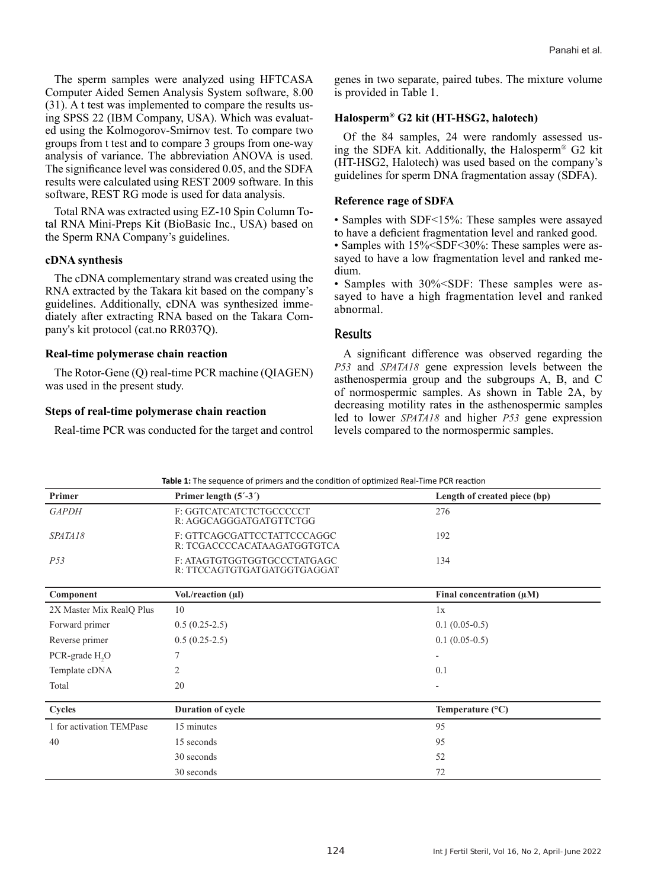The sperm samples were analyzed using HFTCASA Computer Aided Semen Analysis System software, 8.00 (31). A t test was implemented to compare the results using SPSS 22 (IBM Company, USA). Which was evaluated using the Kolmogorov-Smirnov test. To compare two groups from t test and to compare 3 groups from one-way analysis of variance. The abbreviation ANOVA is used. The significance level was considered 0.05, and the SDFA results were calculated using REST 2009 software. In this software, REST RG mode is used for data analysis.

Total RNA was extracted using EZ-10 Spin Column Total RNA Mini-Preps Kit (BioBasic Inc., USA) based on the Sperm RNA Company's guidelines.

## **cDNA synthesis**

The cDNA complementary strand was created using the RNA extracted by the Takara kit based on the company's guidelines. Additionally, cDNA was synthesized immediately after extracting RNA based on the Takara Company's kit protocol (cat.no RR037Q).

#### **Real-time polymerase chain reaction**

The Rotor-Gene (Q) real-time PCR machine (QIAGEN) was used in the present study.

## **Steps of real-time polymerase chain reaction**

Real-time PCR was conducted for the target and control

genes in two separate, paired tubes. The mixture volume is provided in Table 1.

## **Halosperm® G2 kit (HT-HSG2, halotech)**

Of the 84 samples, 24 were randomly assessed using the SDFA kit. Additionally, the Halosperm® G2 kit (HT-HSG2, Halotech) was used based on the company's guidelines for sperm DNA fragmentation assay (SDFA).

## **Reference rage of SDFA**

• Samples with SDF<15%: These samples were assayed to have a deficient fragmentation level and ranked good. • Samples with 15% < SDF < 30%: These samples were assayed to have a low fragmentation level and ranked medium.

• Samples with 30% < SDF: These samples were assayed to have a high fragmentation level and ranked abnormal.

## Results

A significant difference was observed regarding the *P53* and *SPATA18* gene expression levels between the asthenospermia group and the subgroups A, B, and C of normospermic samples. As shown in Table 2A, by decreasing motility rates in the asthenospermic samples led to lower *SPATA18* and higher *P53* gene expression levels compared to the normospermic samples.

| Primer                     | Primer length $(5' - 3')$                                  | Length of created piece (bp)  |  |
|----------------------------|------------------------------------------------------------|-------------------------------|--|
| <b>GAPDH</b>               | F: GGTCATCATCTCTGCCCCCT<br>R: AGGCAGGGATGATGTTCTGG         | 276                           |  |
| SPATA18                    | F: GTTCAGCGATTCCTATTCCCAGGC<br>R: TCGACCCCACATAAGATGGTGTCA | 192                           |  |
| P53                        | F: ATAGTGTGGTGGTGCCCTATGAGC<br>R: TTCCAGTGTGATGATGGTGAGGAT | 134                           |  |
| Component                  | Vol./reaction (µl)                                         | Final concentration $(\mu M)$ |  |
| 2X Master Mix RealQ Plus   | 10                                                         | 1x                            |  |
| Forward primer             | $0.5(0.25-2.5)$                                            | $0.1(0.05-0.5)$               |  |
| Reverse primer             | $0.5(0.25-2.5)$                                            | $0.1(0.05-0.5)$               |  |
| PCR-grade H <sub>2</sub> O |                                                            | $\overline{\phantom{a}}$      |  |
| Template cDNA              | 2                                                          | 0.1                           |  |
| Total                      | 20                                                         |                               |  |
| Cycles                     | <b>Duration of cycle</b>                                   | Temperature $(^{\circ}C)$     |  |
| 1 for activation TEMPase   | 15 minutes                                                 | 95                            |  |
| 40                         | 15 seconds                                                 | 95                            |  |
|                            | 30 seconds                                                 | 52                            |  |
|                            | 30 seconds                                                 | 72                            |  |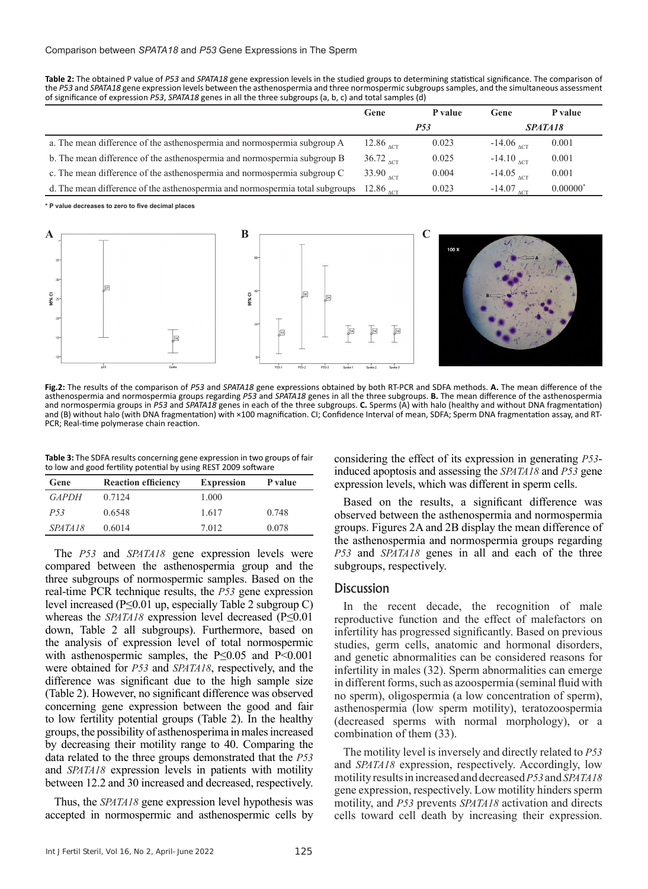**Table 2:** The obtained P value of *P53* and *SPATA18* gene expression levels in the studied groups to determining statistical significance. The comparison of the *P53* and *SPATA18* gene expression levels between the asthenospermia and three normospermic subgroups samples, and the simultaneous assessment of significance of expression *P53*, *SPATA18* genes in all the three subgroups (a, b, c) and total samples (d)

|                                                                               | Gene                                       | P value | Gene                    | P value    |
|-------------------------------------------------------------------------------|--------------------------------------------|---------|-------------------------|------------|
|                                                                               | <i>P53</i>                                 |         | SPATA <sub>18</sub>     |            |
| a. The mean difference of the asthenospermia and normospermia subgroup A      | 12.86 $_{\Lambda$ CT                       | 0.023   | $-14.06$ <sub>ACT</sub> | 0.001      |
| b. The mean difference of the asthenospermia and normospermia subgroup B      | $36.72$ <sub><math>\text{ACT}</math></sub> | 0.025   | $-14.10_{\Lambda$ CT    | 0.001      |
| c. The mean difference of the asthenospermia and normospermia subgroup C      | 33.90 $_{\Lambda$ CT                       | 0.004   | $-14.05$ <sub>ACT</sub> | 0.001      |
| d. The mean difference of the asthenospermia and normospermia total subgroups | 12.86 $_{\Lambda$ CT                       | 0.023   | $-14.07$ <sub>ACT</sub> | $0.00000*$ |

**\* P value decreases to zero to five decimal places**



**Fig.2:** The results of the comparison of *P53* and *SPATA18* gene expressions obtained by both RT-PCR and SDFA methods. **A.** The mean difference of the asthenospermia and normospermia groups regarding *P53* and *SPATA18* genes in all the three subgroups. **B.** The mean difference of the asthenospermia and normospermia groups in *P53* and *SPATA18* genes in each of the three subgroups. **C.** Sperms (A) with halo (healthy and without DNA fragmentation) and (B) without halo (with DNA fragmentation) with ×100 magnification. CI; Confidence Interval of mean, SDFA; Sperm DNA fragmentation assay, and RT-PCR; Real-time polymerase chain reaction.

**Table 3:** The SDFA results concerning gene expression in two groups of fair to low and good fertility potential by using REST 2009 software

| Gene            | <b>Reaction efficiency</b> | <b>Expression</b> | P value |
|-----------------|----------------------------|-------------------|---------|
| <i>GAPDH</i>    | 0.7124                     | 1.000             |         |
| P <sub>53</sub> | 0.6548                     | 1.617             | 0.748   |
| SPATA18         | 0.6014                     | 7 0 1 2           | 0.078   |

The *P53* and *SPATA18* gene expression levels were compared between the asthenospermia group and the three subgroups of normospermic samples. Based on the real-time PCR technique results, the *P53* gene expression level increased (P≤0.01 up, especially Table 2 subgroup C) whereas the *SPATA18* expression level decreased (P≤0.01 down, Table 2 all subgroups). Furthermore, based on the analysis of expression level of total normospermic with asthenospermic samples, the P≤0.05 and P<0.001 were obtained for *P53* and *SPATA18*, respectively, and the difference was significant due to the high sample size (Table 2). However, no significant difference was observed concerning gene expression between the good and fair to low fertility potential groups (Table 2). In the healthy groups, the possibility of asthenosperima in males increased by decreasing their motility range to 40. Comparing the data related to the three groups demonstrated that the *P53* and *SPATA18* expression levels in patients with motility between 12.2 and 30 increased and decreased, respectively.

Thus, the *SPATA18* gene expression level hypothesis was accepted in normospermic and asthenospermic cells by considering the effect of its expression in generating *P53* induced apoptosis and assessing the *SPATA18* and *P53* gene expression levels, which was different in sperm cells.

Based on the results, a significant difference was observed between the asthenospermia and normospermia groups. Figures 2A and 2B display the mean difference of the asthenospermia and normospermia groups regarding *P53* and *SPATA18* genes in all and each of the three subgroups, respectively.

## **Discussion**

In the recent decade, the recognition of male reproductive function and the effect of malefactors on infertility has progressed significantly. Based on previous studies, germ cells, anatomic and hormonal disorders, and genetic abnormalities can be considered reasons for infertility in males (32). Sperm abnormalities can emerge in different forms, such as azoospermia (seminal fluid with no sperm), oligospermia (a low concentration of sperm), asthenospermia (low sperm motility), teratozoospermia (decreased sperms with normal morphology), or a combination of them (33).

The motility level is inversely and directly related to *P53* and *SPATA18* expression, respectively. Accordingly, low motility results in increased and decreased *P53* and *SPATA18* gene expression, respectively. Low motility hinders sperm motility, and *P53* prevents *SPATA18* activation and directs cells toward cell death by increasing their expression.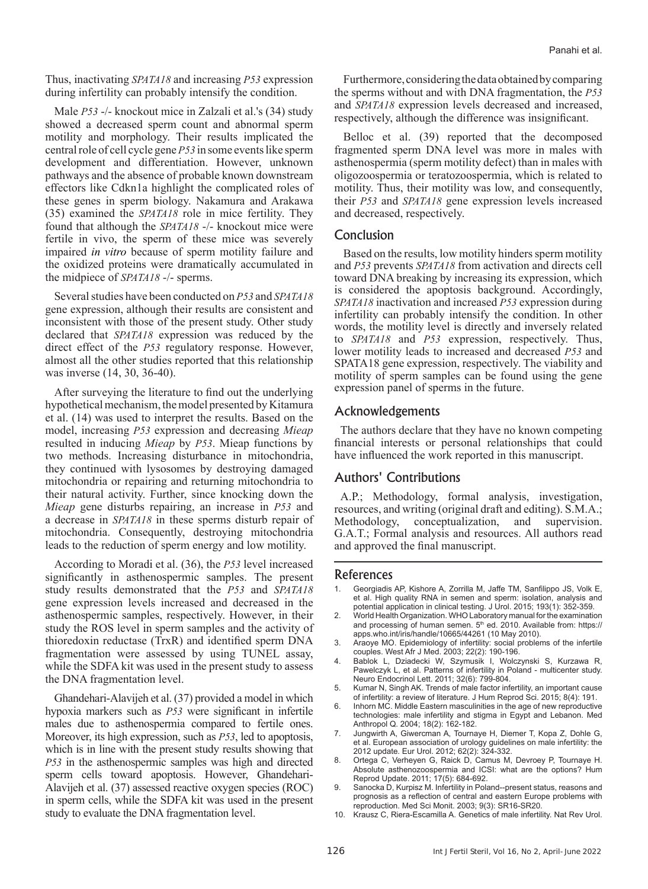Thus, inactivating *SPATA18* and increasing *P53* expression during infertility can probably intensify the condition.

Male *P53* -/- knockout mice in Zalzali et al.'s (34) study showed a decreased sperm count and abnormal sperm motility and morphology. Their results implicated the central role of cell cycle gene *P53* in some events like sperm development and differentiation. However, unknown pathways and the absence of probable known downstream effectors like Cdkn1a highlight the complicated roles of these genes in sperm biology. Nakamura and Arakawa (35) examined the *SPATA18* role in mice fertility. They found that although the *SPATA18* -/- knockout mice were fertile in vivo, the sperm of these mice was severely impaired *in vitro* because of sperm motility failure and the oxidized proteins were dramatically accumulated in the midpiece of *SPATA18* -/- sperms.

Several studies have been conducted on *P53* and *SPATA18* gene expression, although their results are consistent and inconsistent with those of the present study. Other study declared that *SPATA18* expression was reduced by the direct effect of the *P53* regulatory response. However, almost all the other studies reported that this relationship was inverse (14, 30, 36-40).

After surveying the literature to find out the underlying hypothetical mechanism, the model presented by Kitamura et al. (14) was used to interpret the results. Based on the model, increasing *P53* expression and decreasing *Mieap* resulted in inducing *Mieap* by *P53*. Mieap functions by two methods. Increasing disturbance in mitochondria, they continued with lysosomes by destroying damaged mitochondria or repairing and returning mitochondria to their natural activity. Further, since knocking down the *Mieap* gene disturbs repairing, an increase in *P53* and a decrease in *SPATA18* in these sperms disturb repair of mitochondria. Consequently, destroying mitochondria leads to the reduction of sperm energy and low motility.

According to Moradi et al. (36), the *P53* level increased significantly in asthenospermic samples. The present study results demonstrated that the *P53* and *SPATA18* gene expression levels increased and decreased in the asthenospermic samples, respectively. However, in their study the ROS level in sperm samples and the activity of thioredoxin reductase (TrxR) and identified sperm DNA fragmentation were assessed by using TUNEL assay, while the SDFA kit was used in the present study to assess the DNA fragmentation level.

Ghandehari-Alavijeh et al. (37) provided a model in which hypoxia markers such as *P53* were significant in infertile males due to asthenospermia compared to fertile ones. Moreover, its high expression, such as *P53*, led to apoptosis, which is in line with the present study results showing that *P53* in the asthenospermic samples was high and directed sperm cells toward apoptosis. However, Ghandehari-Alavijeh et al. (37) assessed reactive oxygen species (ROC) in sperm cells, while the SDFA kit was used in the present study to evaluate the DNA fragmentation level.

Furthermore, considering the data obtained by comparing the sperms without and with DNA fragmentation, the *P53* and *SPATA18* expression levels decreased and increased, respectively, although the difference was insignificant.

Belloc et al. (39) reported that the decomposed fragmented sperm DNA level was more in males with asthenospermia (sperm motility defect) than in males with oligozoospermia or teratozoospermia, which is related to motility. Thus, their motility was low, and consequently, their *P53* and *SPATA18* gene expression levels increased and decreased, respectively.

# Conclusion

Based on the results, low motility hinders sperm motility and *P53* prevents *SPATA18* from activation and directs cell toward DNA breaking by increasing its expression, which is considered the apoptosis background. Accordingly, *SPATA18* inactivation and increased *P53* expression during infertility can probably intensify the condition. In other words, the motility level is directly and inversely related to *SPATA18* and *P53* expression, respectively. Thus, lower motility leads to increased and decreased *P53* and SPATA18 gene expression, respectively. The viability and motility of sperm samples can be found using the gene expression panel of sperms in the future.

# Acknowledgements

The authors declare that they have no known competing financial interests or personal relationships that could have influenced the work reported in this manuscript.

# Authors' Contributions

A.P.; Methodology, formal analysis, investigation, resources, and writing (original draft and editing). S.M.A.; conceptualization, and supervision. G.A.T.; Formal analysis and resources. All authors read and approved the final manuscript.

#### References

- 1. Georgiadis AP, Kishore A, Zorrilla M, Jaffe TM, Sanfilippo JS, Volk E, et al. High quality RNA in semen and sperm: isolation, analysis and potential application in clinical testing. J Urol. 2015; 193(1): 352-359.
- 2. World Health Organization. WHO Laboratory manual for the examination and processing of human semen. 5<sup>th</sup> ed. 2010. Available from: https:// apps.who.int/iris/handle/10665/44261 (10 May 2010).
- 3. Araoye MO. Epidemiology of infertility: social problems of the infertile couples. West Afr J Med. 2003; 22(2): 190-196.
- 4. Bablok L, Dziadecki W, Szymusik I, Wolczynski S, Kurzawa R, Pawelczyk L, et al. Patterns of infertility in Poland - multicenter study. Neuro Endocrinol Lett. 2011; 32(6): 799-804.
- 5. Kumar N, Singh AK. Trends of male factor infertility, an important cause of infertility: a review of literature. J Hum Reprod Sci. 2015; 8(4): 191.
- 6. Inhorn MC. Middle Eastern masculinities in the age of new reproductive technologies: male infertility and stigma in Egypt and Lebanon. Med Anthropol Q. 2004; 18(2): 162-182.
- 7. Jungwirth A, Giwercman A, Tournaye H, Diemer T, Kopa Z, Dohle G, et al. European association of urology guidelines on male infertility: the 2012 update. Eur Urol. 2012; 62(2): 324-332.
- 8. Ortega C, Verheyen G, Raick D, Camus M, Devroey P, Tournaye H. Absolute asthenozoospermia and ICSI: what are the options? Hum Reprod Update. 2011; 17(5): 684-692.
- 9. Sanocka D, Kurpisz M. Infertility in Poland--present status, reasons and prognosis as a reflection of central and eastern Europe problems with reproduction. Med Sci Monit. 2003; 9(3): SR16-SR20.
- 10. Krausz C, Riera-Escamilla A. Genetics of male infertility. Nat Rev Urol.